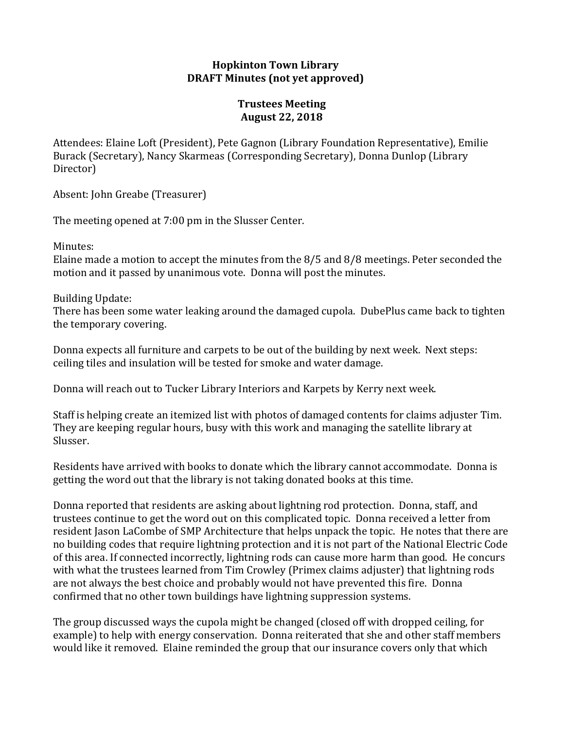## **Hopkinton Town Library DRAFT Minutes (not yet approved)**

## **Trustees Meeting August 22, 2018**

Attendees: Elaine Loft (President), Pete Gagnon (Library Foundation Representative), Emilie Burack (Secretary), Nancy Skarmeas (Corresponding Secretary), Donna Dunlop (Library Director)

Absent: John Greabe (Treasurer)

The meeting opened at 7:00 pm in the Slusser Center.

Minutes:

Elaine made a motion to accept the minutes from the 8/5 and 8/8 meetings. Peter seconded the motion and it passed by unanimous vote. Donna will post the minutes.

Building Update:

There has been some water leaking around the damaged cupola. DubePlus came back to tighten the temporary covering.

Donna expects all furniture and carpets to be out of the building by next week. Next steps: ceiling tiles and insulation will be tested for smoke and water damage.

Donna will reach out to Tucker Library Interiors and Karpets by Kerry next week.

Staff is helping create an itemized list with photos of damaged contents for claims adjuster Tim. They are keeping regular hours, busy with this work and managing the satellite library at Slusser.

Residents have arrived with books to donate which the library cannot accommodate. Donna is getting the word out that the library is not taking donated books at this time.

Donna reported that residents are asking about lightning rod protection. Donna, staff, and trustees continue to get the word out on this complicated topic. Donna received a letter from resident Jason LaCombe of SMP Architecture that helps unpack the topic. He notes that there are no building codes that require lightning protection and it is not part of the National Electric Code of this area. If connected incorrectly, lightning rods can cause more harm than good. He concurs with what the trustees learned from Tim Crowley (Primex claims adjuster) that lightning rods are not always the best choice and probably would not have prevented this fire. Donna confirmed that no other town buildings have lightning suppression systems.

The group discussed ways the cupola might be changed (closed off with dropped ceiling, for example) to help with energy conservation. Donna reiterated that she and other staff members would like it removed. Elaine reminded the group that our insurance covers only that which